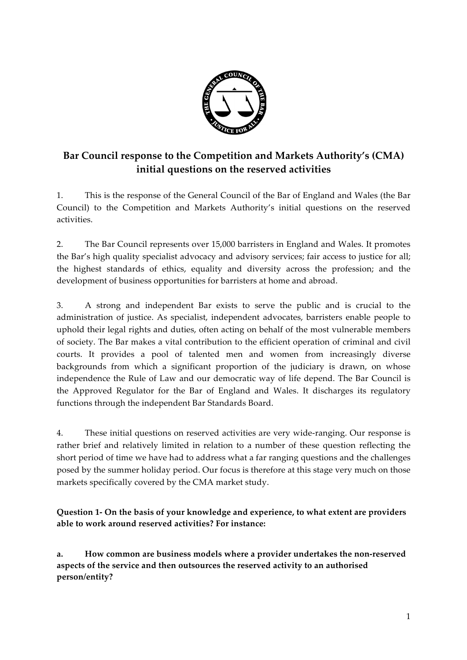

# **Bar Council response to the Competition and Markets Authority's (CMA) initial questions on the reserved activities**

1. This is the response of the General Council of the Bar of England and Wales (the Bar Council) to the Competition and Markets Authority's initial questions on the reserved activities.

2. The Bar Council represents over 15,000 barristers in England and Wales. It promotes the Bar's high quality specialist advocacy and advisory services; fair access to justice for all; the highest standards of ethics, equality and diversity across the profession; and the development of business opportunities for barristers at home and abroad.

3. A strong and independent Bar exists to serve the public and is crucial to the administration of justice. As specialist, independent advocates, barristers enable people to uphold their legal rights and duties, often acting on behalf of the most vulnerable members of society. The Bar makes a vital contribution to the efficient operation of criminal and civil courts. It provides a pool of talented men and women from increasingly diverse backgrounds from which a significant proportion of the judiciary is drawn, on whose independence the Rule of Law and our democratic way of life depend. The Bar Council is the Approved Regulator for the Bar of England and Wales. It discharges its regulatory functions through the independent Bar Standards Board.

4. These initial questions on reserved activities are very wide-ranging. Our response is rather brief and relatively limited in relation to a number of these question reflecting the short period of time we have had to address what a far ranging questions and the challenges posed by the summer holiday period. Our focus is therefore at this stage very much on those markets specifically covered by the CMA market study.

**Question 1- On the basis of your knowledge and experience, to what extent are providers able to work around reserved activities? For instance:**

**a. How common are business models where a provider undertakes the non-reserved aspects of the service and then outsources the reserved activity to an authorised person/entity?**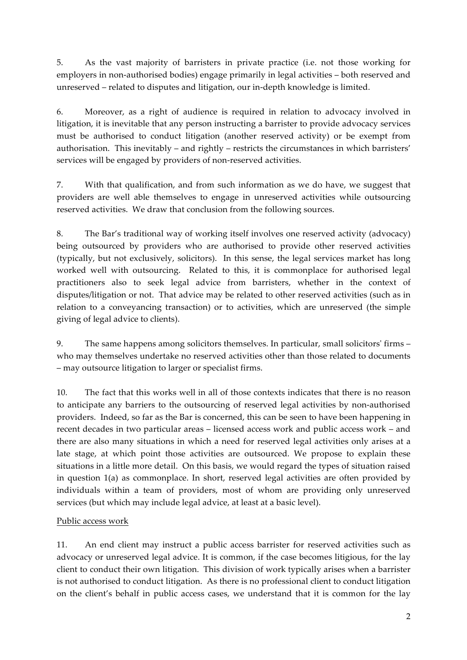5. As the vast majority of barristers in private practice (i.e. not those working for employers in non-authorised bodies) engage primarily in legal activities – both reserved and unreserved – related to disputes and litigation, our in-depth knowledge is limited.

6. Moreover, as a right of audience is required in relation to advocacy involved in litigation, it is inevitable that any person instructing a barrister to provide advocacy services must be authorised to conduct litigation (another reserved activity) or be exempt from authorisation. This inevitably – and rightly – restricts the circumstances in which barristers' services will be engaged by providers of non-reserved activities.

7. With that qualification, and from such information as we do have, we suggest that providers are well able themselves to engage in unreserved activities while outsourcing reserved activities. We draw that conclusion from the following sources.

8. The Bar's traditional way of working itself involves one reserved activity (advocacy) being outsourced by providers who are authorised to provide other reserved activities (typically, but not exclusively, solicitors). In this sense, the legal services market has long worked well with outsourcing. Related to this, it is commonplace for authorised legal practitioners also to seek legal advice from barristers, whether in the context of disputes/litigation or not. That advice may be related to other reserved activities (such as in relation to a conveyancing transaction) or to activities, which are unreserved (the simple giving of legal advice to clients).

9. The same happens among solicitors themselves. In particular, small solicitors' firms – who may themselves undertake no reserved activities other than those related to documents – may outsource litigation to larger or specialist firms.

10. The fact that this works well in all of those contexts indicates that there is no reason to anticipate any barriers to the outsourcing of reserved legal activities by non-authorised providers. Indeed, so far as the Bar is concerned, this can be seen to have been happening in recent decades in two particular areas – licensed access work and public access work – and there are also many situations in which a need for reserved legal activities only arises at a late stage, at which point those activities are outsourced. We propose to explain these situations in a little more detail. On this basis, we would regard the types of situation raised in question 1(a) as commonplace. In short, reserved legal activities are often provided by individuals within a team of providers, most of whom are providing only unreserved services (but which may include legal advice, at least at a basic level).

# Public access work

11. An end client may instruct a public access barrister for reserved activities such as advocacy or unreserved legal advice. It is common, if the case becomes litigious, for the lay client to conduct their own litigation. This division of work typically arises when a barrister is not authorised to conduct litigation. As there is no professional client to conduct litigation on the client's behalf in public access cases, we understand that it is common for the lay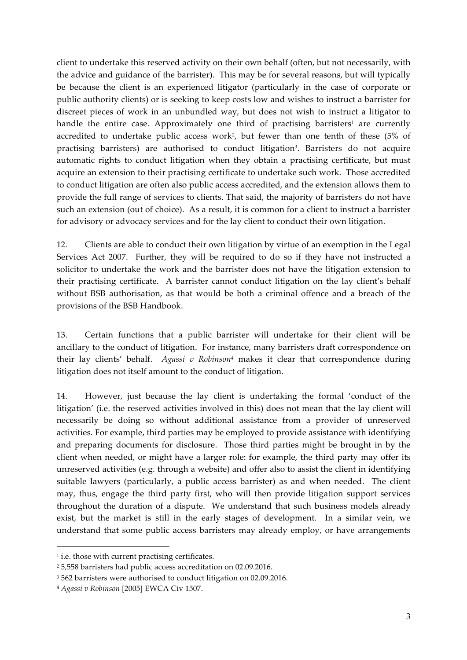client to undertake this reserved activity on their own behalf (often, but not necessarily, with the advice and guidance of the barrister). This may be for several reasons, but will typically be because the client is an experienced litigator (particularly in the case of corporate or public authority clients) or is seeking to keep costs low and wishes to instruct a barrister for discreet pieces of work in an unbundled way, but does not wish to instruct a litigator to handle the entire case. Approximately one third of practising barristers<sup>1</sup> are currently accredited to undertake public access work<sup>2</sup>, but fewer than one tenth of these  $(5\%$  of practising barristers) are authorised to conduct litigation<sup>3</sup>. Barristers do not acquire automatic rights to conduct litigation when they obtain a practising certificate, but must acquire an extension to their practising certificate to undertake such work. Those accredited to conduct litigation are often also public access accredited, and the extension allows them to provide the full range of services to clients. That said, the majority of barristers do not have such an extension (out of choice). As a result, it is common for a client to instruct a barrister for advisory or advocacy services and for the lay client to conduct their own litigation.

12. Clients are able to conduct their own litigation by virtue of an exemption in the Legal Services Act 2007. Further, they will be required to do so if they have not instructed a solicitor to undertake the work and the barrister does not have the litigation extension to their practising certificate. A barrister cannot conduct litigation on the lay client's behalf without BSB authorisation, as that would be both a criminal offence and a breach of the provisions of the BSB Handbook.

13. Certain functions that a public barrister will undertake for their client will be ancillary to the conduct of litigation. For instance, many barristers draft correspondence on their lay clients' behalf. *Agassi v Robinson4* makes it clear that correspondence during litigation does not itself amount to the conduct of litigation.

14. However, just because the lay client is undertaking the formal 'conduct of the litigation' (i.e. the reserved activities involved in this) does not mean that the lay client will necessarily be doing so without additional assistance from a provider of unreserved activities. For example, third parties may be employed to provide assistance with identifying and preparing documents for disclosure. Those third parties might be brought in by the client when needed, or might have a larger role: for example, the third party may offer its unreserved activities (e.g. through a website) and offer also to assist the client in identifying suitable lawyers (particularly, a public access barrister) as and when needed. The client may, thus, engage the third party first, who will then provide litigation support services throughout the duration of a dispute. We understand that such business models already exist, but the market is still in the early stages of development. In a similar vein, we understand that some public access barristers may already employ, or have arrangements

 

<sup>&</sup>lt;sup>1</sup> i.e. those with current practising certificates.

<sup>2</sup> 5,558 barristers had public access accreditation on 02.09.2016.

<sup>3</sup> 562 barristers were authorised to conduct litigation on 02.09.2016.

<sup>4</sup> *Agassi v Robinson* [2005] EWCA Civ 1507.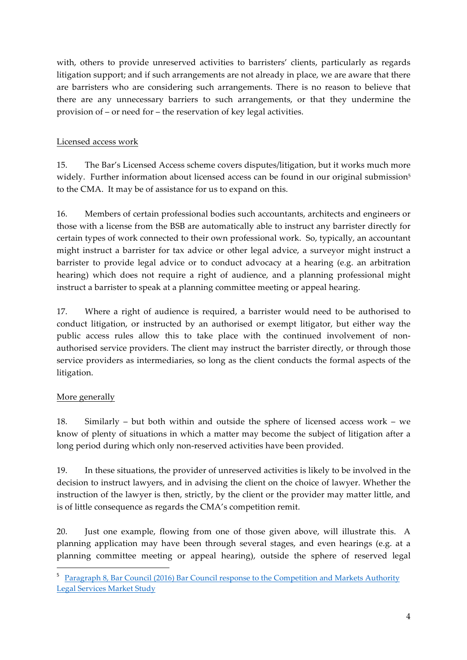with, others to provide unreserved activities to barristers' clients, particularly as regards litigation support; and if such arrangements are not already in place, we are aware that there are barristers who are considering such arrangements. There is no reason to believe that there are any unnecessary barriers to such arrangements, or that they undermine the provision of – or need for – the reservation of key legal activities.

#### Licensed access work

15. The Bar's Licensed Access scheme covers disputes/litigation, but it works much more widely. Further information about licensed access can be found in our original submission<sup>5</sup> to the CMA. It may be of assistance for us to expand on this.

16. Members of certain professional bodies such accountants, architects and engineers or those with a license from the BSB are automatically able to instruct any barrister directly for certain types of work connected to their own professional work. So, typically, an accountant might instruct a barrister for tax advice or other legal advice, a surveyor might instruct a barrister to provide legal advice or to conduct advocacy at a hearing (e.g. an arbitration hearing) which does not require a right of audience, and a planning professional might instruct a barrister to speak at a planning committee meeting or appeal hearing.

17. Where a right of audience is required, a barrister would need to be authorised to conduct litigation, or instructed by an authorised or exempt litigator, but either way the public access rules allow this to take place with the continued involvement of nonauthorised service providers. The client may instruct the barrister directly, or through those service providers as intermediaries, so long as the client conducts the formal aspects of the litigation.

# More generally

<u> 1989 - Jan Samuel Barbara, margaret e</u>

18. Similarly – but both within and outside the sphere of licensed access work – we know of plenty of situations in which a matter may become the subject of litigation after a long period during which only non-reserved activities have been provided.

19. In these situations, the provider of unreserved activities is likely to be involved in the decision to instruct lawyers, and in advising the client on the choice of lawyer. Whether the instruction of the lawyer is then, strictly, by the client or the provider may matter little, and is of little consequence as regards the CMA's competition remit.

20. Just one example, flowing from one of those given above, will illustrate this. A planning application may have been through several stages, and even hearings (e.g. at a planning committee meeting or appeal hearing), outside the sphere of reserved legal

<sup>5</sup> Paragraph 8, Bar Council (2016) Bar Council response to the Competition and Markets Authority Legal Services Market Study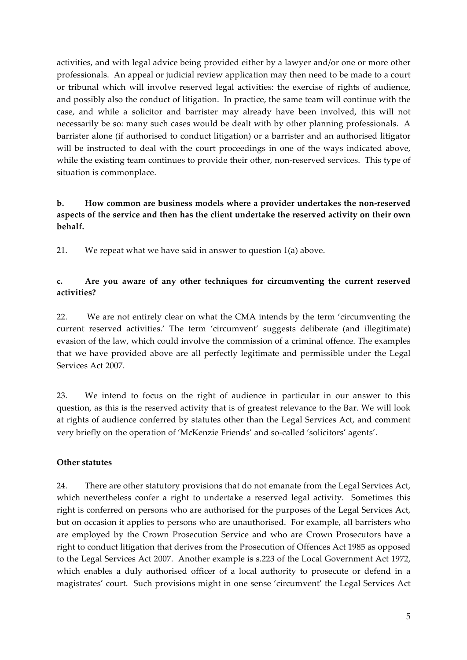activities, and with legal advice being provided either by a lawyer and/or one or more other professionals. An appeal or judicial review application may then need to be made to a court or tribunal which will involve reserved legal activities: the exercise of rights of audience, and possibly also the conduct of litigation. In practice, the same team will continue with the case, and while a solicitor and barrister may already have been involved, this will not necessarily be so: many such cases would be dealt with by other planning professionals. A barrister alone (if authorised to conduct litigation) or a barrister and an authorised litigator will be instructed to deal with the court proceedings in one of the ways indicated above, while the existing team continues to provide their other, non-reserved services. This type of situation is commonplace.

#### **b. How common are business models where a provider undertakes the non-reserved aspects of the service and then has the client undertake the reserved activity on their own behalf.**

21. We repeat what we have said in answer to question 1(a) above.

#### **c. Are you aware of any other techniques for circumventing the current reserved activities?**

22. We are not entirely clear on what the CMA intends by the term 'circumventing the current reserved activities.' The term 'circumvent' suggests deliberate (and illegitimate) evasion of the law, which could involve the commission of a criminal offence. The examples that we have provided above are all perfectly legitimate and permissible under the Legal Services Act 2007.

23. We intend to focus on the right of audience in particular in our answer to this question, as this is the reserved activity that is of greatest relevance to the Bar. We will look at rights of audience conferred by statutes other than the Legal Services Act, and comment very briefly on the operation of 'McKenzie Friends' and so-called 'solicitors' agents'.

#### **Other statutes**

24. There are other statutory provisions that do not emanate from the Legal Services Act, which nevertheless confer a right to undertake a reserved legal activity. Sometimes this right is conferred on persons who are authorised for the purposes of the Legal Services Act, but on occasion it applies to persons who are unauthorised. For example, all barristers who are employed by the Crown Prosecution Service and who are Crown Prosecutors have a right to conduct litigation that derives from the Prosecution of Offences Act 1985 as opposed to the Legal Services Act 2007. Another example is s.223 of the Local Government Act 1972, which enables a duly authorised officer of a local authority to prosecute or defend in a magistrates' court. Such provisions might in one sense 'circumvent' the Legal Services Act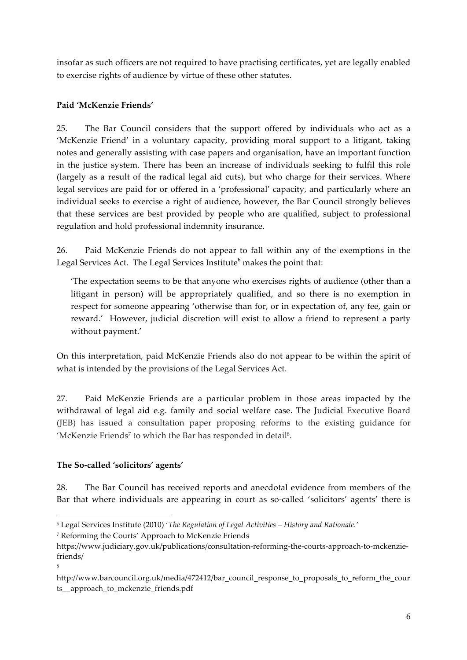insofar as such officers are not required to have practising certificates, yet are legally enabled to exercise rights of audience by virtue of these other statutes.

#### **Paid 'McKenzie Friends'**

25. The Bar Council considers that the support offered by individuals who act as a 'McKenzie Friend' in a voluntary capacity, providing moral support to a litigant, taking notes and generally assisting with case papers and organisation, have an important function in the justice system. There has been an increase of individuals seeking to fulfil this role (largely as a result of the radical legal aid cuts), but who charge for their services. Where legal services are paid for or offered in a 'professional' capacity, and particularly where an individual seeks to exercise a right of audience, however, the Bar Council strongly believes that these services are best provided by people who are qualified, subject to professional regulation and hold professional indemnity insurance.

26. Paid McKenzie Friends do not appear to fall within any of the exemptions in the Legal Services Act. The Legal Services Institute<sup>6</sup> makes the point that:

'The expectation seems to be that anyone who exercises rights of audience (other than a litigant in person) will be appropriately qualified, and so there is no exemption in respect for someone appearing 'otherwise than for, or in expectation of, any fee, gain or reward.' However, judicial discretion will exist to allow a friend to represent a party without payment.'

On this interpretation, paid McKenzie Friends also do not appear to be within the spirit of what is intended by the provisions of the Legal Services Act.

27. Paid McKenzie Friends are a particular problem in those areas impacted by the withdrawal of legal aid e.g. family and social welfare case. The Judicial Executive Board (JEB) has issued a consultation paper proposing reforms to the existing guidance for 'McKenzie Friends<sup>7</sup> to which the Bar has responded in detail<sup>8</sup>.

#### **The So-called 'solicitors' agents'**

<u> 1989 - Jan Samuel Barbara, margaret e</u>

8

28. The Bar Council has received reports and anecdotal evidence from members of the Bar that where individuals are appearing in court as so-called 'solicitors' agents' there is

<sup>7</sup> Reforming the Courts' Approach to McKenzie Friends

<sup>6</sup> Legal Services Institute (2010) '*The Regulation of Legal Activities – History and Rationale.'*

https://www.judiciary.gov.uk/publications/consultation-reforming-the-courts-approach-to-mckenziefriends/

http://www.barcouncil.org.uk/media/472412/bar\_council\_response\_to\_proposals\_to\_reform\_the\_cour ts\_\_approach\_to\_mckenzie\_friends.pdf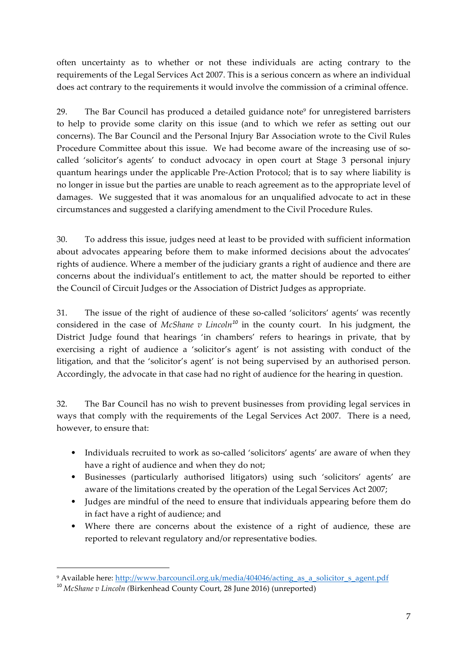often uncertainty as to whether or not these individuals are acting contrary to the requirements of the Legal Services Act 2007. This is a serious concern as where an individual does act contrary to the requirements it would involve the commission of a criminal offence.

29. The Bar Council has produced a detailed guidance note<sup>9</sup> for unregistered barristers to help to provide some clarity on this issue (and to which we refer as setting out our concerns). The Bar Council and the Personal Injury Bar Association wrote to the Civil Rules Procedure Committee about this issue. We had become aware of the increasing use of socalled 'solicitor's agents' to conduct advocacy in open court at Stage 3 personal injury quantum hearings under the applicable Pre-Action Protocol; that is to say where liability is no longer in issue but the parties are unable to reach agreement as to the appropriate level of damages. We suggested that it was anomalous for an unqualified advocate to act in these circumstances and suggested a clarifying amendment to the Civil Procedure Rules.

30. To address this issue, judges need at least to be provided with sufficient information about advocates appearing before them to make informed decisions about the advocates' rights of audience. Where a member of the judiciary grants a right of audience and there are concerns about the individual's entitlement to act, the matter should be reported to either the Council of Circuit Judges or the Association of District Judges as appropriate.

31. The issue of the right of audience of these so-called 'solicitors' agents' was recently considered in the case of *McShane v Lincoln<sup>10</sup>* in the county court. In his judgment, the District Judge found that hearings 'in chambers' refers to hearings in private, that by exercising a right of audience a 'solicitor's agent' is not assisting with conduct of the litigation, and that the 'solicitor's agent' is not being supervised by an authorised person. Accordingly, the advocate in that case had no right of audience for the hearing in question.

32. The Bar Council has no wish to prevent businesses from providing legal services in ways that comply with the requirements of the Legal Services Act 2007. There is a need, however, to ensure that:

- Individuals recruited to work as so-called 'solicitors' agents' are aware of when they have a right of audience and when they do not;
- Businesses (particularly authorised litigators) using such 'solicitors' agents' are aware of the limitations created by the operation of the Legal Services Act 2007;
- Judges are mindful of the need to ensure that individuals appearing before them do in fact have a right of audience; and
- Where there are concerns about the existence of a right of audience, these are reported to relevant regulatory and/or representative bodies.

<u> 1989 - Jan Samuel Barbara, margaret e</u>

<sup>9</sup> Available here: http://www.barcouncil.org.uk/media/404046/acting\_as\_a\_solicitor\_s\_agent.pdf

<sup>10</sup> *McShane v Lincoln (*Birkenhead County Court, 28 June 2016) (unreported)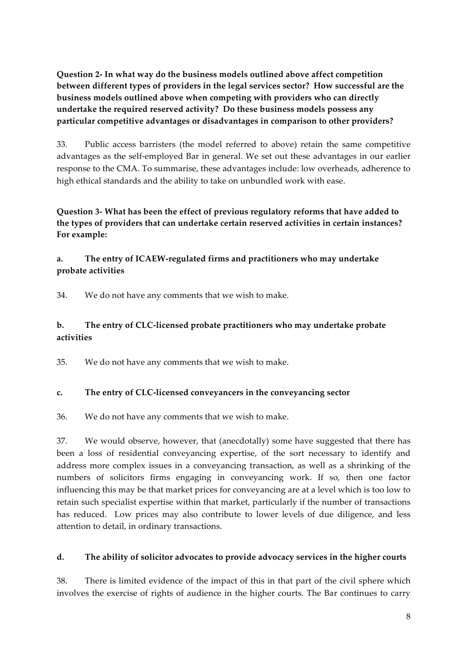**Question 2- In what way do the business models outlined above affect competition between different types of providers in the legal services sector? How successful are the business models outlined above when competing with providers who can directly undertake the required reserved activity? Do these business models possess any particular competitive advantages or disadvantages in comparison to other providers?**

33. Public access barristers (the model referred to above) retain the same competitive advantages as the self-employed Bar in general. We set out these advantages in our earlier response to the CMA. To summarise, these advantages include: low overheads, adherence to high ethical standards and the ability to take on unbundled work with ease.

**Question 3- What has been the effect of previous regulatory reforms that have added to the types of providers that can undertake certain reserved activities in certain instances? For example:**

#### **a. The entry of ICAEW-regulated firms and practitioners who may undertake probate activities**

34. We do not have any comments that we wish to make.

# **b. The entry of CLC-licensed probate practitioners who may undertake probate activities**

35. We do not have any comments that we wish to make.

#### **c. The entry of CLC-licensed conveyancers in the conveyancing sector**

36. We do not have any comments that we wish to make.

37. We would observe, however, that (anecdotally) some have suggested that there has been a loss of residential conveyancing expertise, of the sort necessary to identify and address more complex issues in a conveyancing transaction, as well as a shrinking of the numbers of solicitors firms engaging in conveyancing work. If so, then one factor influencing this may be that market prices for conveyancing are at a level which is too low to retain such specialist expertise within that market, particularly if the number of transactions has reduced. Low prices may also contribute to lower levels of due diligence, and less attention to detail, in ordinary transactions.

#### **d. The ability of solicitor advocates to provide advocacy services in the higher courts**

38. There is limited evidence of the impact of this in that part of the civil sphere which involves the exercise of rights of audience in the higher courts. The Bar continues to carry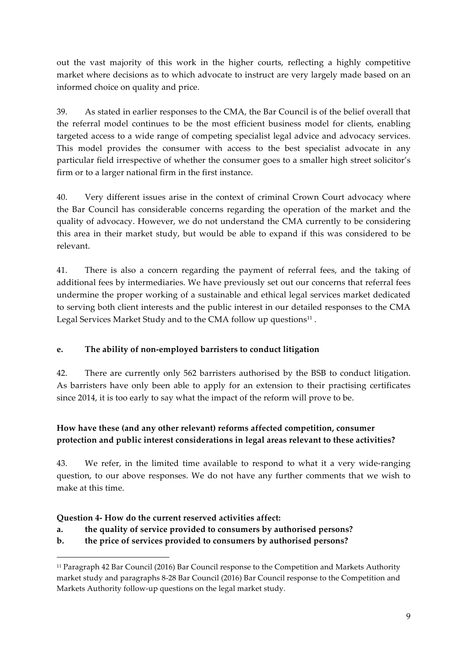out the vast majority of this work in the higher courts, reflecting a highly competitive market where decisions as to which advocate to instruct are very largely made based on an informed choice on quality and price.

39. As stated in earlier responses to the CMA, the Bar Council is of the belief overall that the referral model continues to be the most efficient business model for clients, enabling targeted access to a wide range of competing specialist legal advice and advocacy services. This model provides the consumer with access to the best specialist advocate in any particular field irrespective of whether the consumer goes to a smaller high street solicitor's firm or to a larger national firm in the first instance.

40. Very different issues arise in the context of criminal Crown Court advocacy where the Bar Council has considerable concerns regarding the operation of the market and the quality of advocacy. However, we do not understand the CMA currently to be considering this area in their market study, but would be able to expand if this was considered to be relevant.

41. There is also a concern regarding the payment of referral fees, and the taking of additional fees by intermediaries. We have previously set out our concerns that referral fees undermine the proper working of a sustainable and ethical legal services market dedicated to serving both client interests and the public interest in our detailed responses to the CMA Legal Services Market Study and to the CMA follow up questions $11$ .

# **e. The ability of non-employed barristers to conduct litigation**

42. There are currently only 562 barristers authorised by the BSB to conduct litigation. As barristers have only been able to apply for an extension to their practising certificates since 2014, it is too early to say what the impact of the reform will prove to be.

# **How have these (and any other relevant) reforms affected competition, consumer protection and public interest considerations in legal areas relevant to these activities?**

43. We refer, in the limited time available to respond to what it a very wide-ranging question, to our above responses. We do not have any further comments that we wish to make at this time.

# **Question 4- How do the current reserved activities affect:**

<u> 1989 - Jan Samuel Barbara, margaret e</u>

**a. the quality of service provided to consumers by authorised persons?**

# **b. the price of services provided to consumers by authorised persons?**

<sup>11</sup> Paragraph 42 Bar Council (2016) Bar Council response to the Competition and Markets Authority market study and paragraphs 8-28 Bar Council (2016) Bar Council response to the Competition and Markets Authority follow-up questions on the legal market study.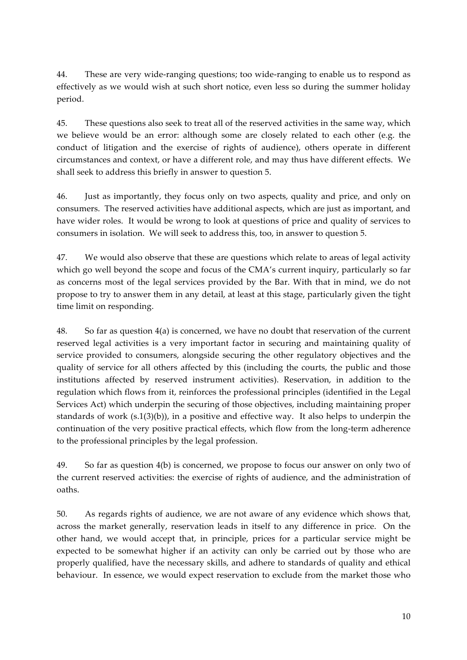44. These are very wide-ranging questions; too wide-ranging to enable us to respond as effectively as we would wish at such short notice, even less so during the summer holiday period.

45. These questions also seek to treat all of the reserved activities in the same way, which we believe would be an error: although some are closely related to each other (e.g. the conduct of litigation and the exercise of rights of audience), others operate in different circumstances and context, or have a different role, and may thus have different effects. We shall seek to address this briefly in answer to question 5.

46. Just as importantly, they focus only on two aspects, quality and price, and only on consumers. The reserved activities have additional aspects, which are just as important, and have wider roles. It would be wrong to look at questions of price and quality of services to consumers in isolation. We will seek to address this, too, in answer to question 5.

47. We would also observe that these are questions which relate to areas of legal activity which go well beyond the scope and focus of the CMA's current inquiry, particularly so far as concerns most of the legal services provided by the Bar. With that in mind, we do not propose to try to answer them in any detail, at least at this stage, particularly given the tight time limit on responding.

48. So far as question 4(a) is concerned, we have no doubt that reservation of the current reserved legal activities is a very important factor in securing and maintaining quality of service provided to consumers, alongside securing the other regulatory objectives and the quality of service for all others affected by this (including the courts, the public and those institutions affected by reserved instrument activities). Reservation, in addition to the regulation which flows from it, reinforces the professional principles (identified in the Legal Services Act) which underpin the securing of those objectives, including maintaining proper standards of work (s.1(3)(b)), in a positive and effective way. It also helps to underpin the continuation of the very positive practical effects, which flow from the long-term adherence to the professional principles by the legal profession.

49. So far as question 4(b) is concerned, we propose to focus our answer on only two of the current reserved activities: the exercise of rights of audience, and the administration of oaths.

50. As regards rights of audience, we are not aware of any evidence which shows that, across the market generally, reservation leads in itself to any difference in price. On the other hand, we would accept that, in principle, prices for a particular service might be expected to be somewhat higher if an activity can only be carried out by those who are properly qualified, have the necessary skills, and adhere to standards of quality and ethical behaviour. In essence, we would expect reservation to exclude from the market those who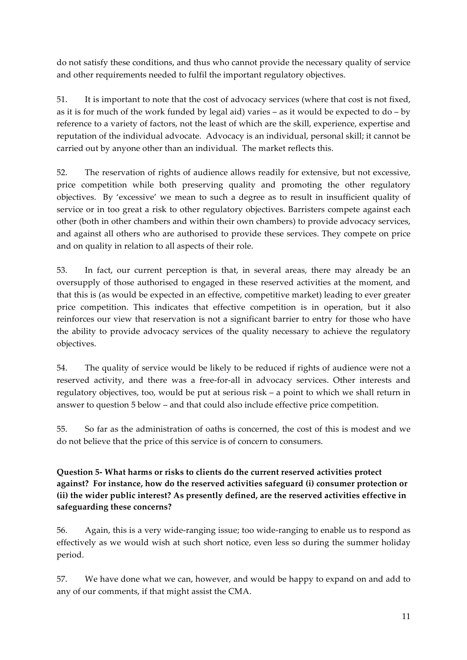do not satisfy these conditions, and thus who cannot provide the necessary quality of service and other requirements needed to fulfil the important regulatory objectives.

51. It is important to note that the cost of advocacy services (where that cost is not fixed, as it is for much of the work funded by legal aid) varies – as it would be expected to do – by reference to a variety of factors, not the least of which are the skill, experience, expertise and reputation of the individual advocate. Advocacy is an individual, personal skill; it cannot be carried out by anyone other than an individual. The market reflects this.

52. The reservation of rights of audience allows readily for extensive, but not excessive, price competition while both preserving quality and promoting the other regulatory objectives. By 'excessive' we mean to such a degree as to result in insufficient quality of service or in too great a risk to other regulatory objectives. Barristers compete against each other (both in other chambers and within their own chambers) to provide advocacy services, and against all others who are authorised to provide these services. They compete on price and on quality in relation to all aspects of their role.

53. In fact, our current perception is that, in several areas, there may already be an oversupply of those authorised to engaged in these reserved activities at the moment, and that this is (as would be expected in an effective, competitive market) leading to ever greater price competition. This indicates that effective competition is in operation, but it also reinforces our view that reservation is not a significant barrier to entry for those who have the ability to provide advocacy services of the quality necessary to achieve the regulatory objectives.

54. The quality of service would be likely to be reduced if rights of audience were not a reserved activity, and there was a free-for-all in advocacy services. Other interests and regulatory objectives, too, would be put at serious risk – a point to which we shall return in answer to question 5 below – and that could also include effective price competition.

55. So far as the administration of oaths is concerned, the cost of this is modest and we do not believe that the price of this service is of concern to consumers.

**Question 5- What harms or risks to clients do the current reserved activities protect against? For instance, how do the reserved activities safeguard (i) consumer protection or (ii) the wider public interest? As presently defined, are the reserved activities effective in safeguarding these concerns?**

56. Again, this is a very wide-ranging issue; too wide-ranging to enable us to respond as effectively as we would wish at such short notice, even less so during the summer holiday period.

57. We have done what we can, however, and would be happy to expand on and add to any of our comments, if that might assist the CMA.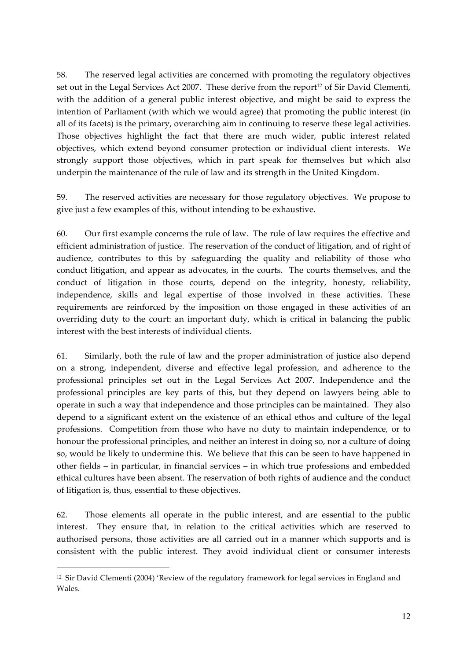58. The reserved legal activities are concerned with promoting the regulatory objectives set out in the Legal Services Act 2007. These derive from the report<sup>12</sup> of Sir David Clementi, with the addition of a general public interest objective, and might be said to express the intention of Parliament (with which we would agree) that promoting the public interest (in all of its facets) is the primary, overarching aim in continuing to reserve these legal activities. Those objectives highlight the fact that there are much wider, public interest related objectives, which extend beyond consumer protection or individual client interests. We strongly support those objectives, which in part speak for themselves but which also underpin the maintenance of the rule of law and its strength in the United Kingdom.

59. The reserved activities are necessary for those regulatory objectives. We propose to give just a few examples of this, without intending to be exhaustive.

60. Our first example concerns the rule of law. The rule of law requires the effective and efficient administration of justice. The reservation of the conduct of litigation, and of right of audience, contributes to this by safeguarding the quality and reliability of those who conduct litigation, and appear as advocates, in the courts. The courts themselves, and the conduct of litigation in those courts, depend on the integrity, honesty, reliability, independence, skills and legal expertise of those involved in these activities. These requirements are reinforced by the imposition on those engaged in these activities of an overriding duty to the court: an important duty, which is critical in balancing the public interest with the best interests of individual clients.

61. Similarly, both the rule of law and the proper administration of justice also depend on a strong, independent, diverse and effective legal profession, and adherence to the professional principles set out in the Legal Services Act 2007. Independence and the professional principles are key parts of this, but they depend on lawyers being able to operate in such a way that independence and those principles can be maintained. They also depend to a significant extent on the existence of an ethical ethos and culture of the legal professions. Competition from those who have no duty to maintain independence, or to honour the professional principles, and neither an interest in doing so, nor a culture of doing so, would be likely to undermine this. We believe that this can be seen to have happened in other fields – in particular, in financial services – in which true professions and embedded ethical cultures have been absent. The reservation of both rights of audience and the conduct of litigation is, thus, essential to these objectives.

62. Those elements all operate in the public interest, and are essential to the public interest. They ensure that, in relation to the critical activities which are reserved to authorised persons, those activities are all carried out in a manner which supports and is consistent with the public interest. They avoid individual client or consumer interests

<u> 1989 - Jan Samuel Barbara, margaret e</u>

<sup>12</sup> Sir David Clementi (2004) 'Review of the regulatory framework for legal services in England and Wales.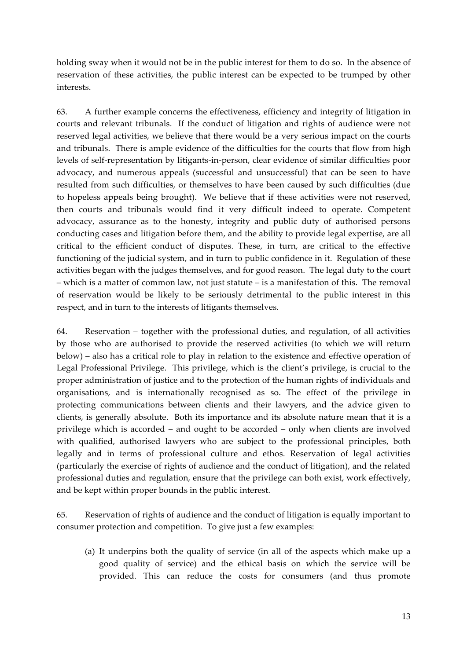holding sway when it would not be in the public interest for them to do so. In the absence of reservation of these activities, the public interest can be expected to be trumped by other interests.

63. A further example concerns the effectiveness, efficiency and integrity of litigation in courts and relevant tribunals. If the conduct of litigation and rights of audience were not reserved legal activities, we believe that there would be a very serious impact on the courts and tribunals. There is ample evidence of the difficulties for the courts that flow from high levels of self-representation by litigants-in-person, clear evidence of similar difficulties poor advocacy, and numerous appeals (successful and unsuccessful) that can be seen to have resulted from such difficulties, or themselves to have been caused by such difficulties (due to hopeless appeals being brought). We believe that if these activities were not reserved, then courts and tribunals would find it very difficult indeed to operate. Competent advocacy, assurance as to the honesty, integrity and public duty of authorised persons conducting cases and litigation before them, and the ability to provide legal expertise, are all critical to the efficient conduct of disputes. These, in turn, are critical to the effective functioning of the judicial system, and in turn to public confidence in it. Regulation of these activities began with the judges themselves, and for good reason. The legal duty to the court – which is a matter of common law, not just statute – is a manifestation of this. The removal of reservation would be likely to be seriously detrimental to the public interest in this respect, and in turn to the interests of litigants themselves.

64. Reservation – together with the professional duties, and regulation, of all activities by those who are authorised to provide the reserved activities (to which we will return below) – also has a critical role to play in relation to the existence and effective operation of Legal Professional Privilege. This privilege, which is the client's privilege, is crucial to the proper administration of justice and to the protection of the human rights of individuals and organisations, and is internationally recognised as so. The effect of the privilege in protecting communications between clients and their lawyers, and the advice given to clients, is generally absolute. Both its importance and its absolute nature mean that it is a privilege which is accorded – and ought to be accorded – only when clients are involved with qualified, authorised lawyers who are subject to the professional principles, both legally and in terms of professional culture and ethos. Reservation of legal activities (particularly the exercise of rights of audience and the conduct of litigation), and the related professional duties and regulation, ensure that the privilege can both exist, work effectively, and be kept within proper bounds in the public interest.

65. Reservation of rights of audience and the conduct of litigation is equally important to consumer protection and competition. To give just a few examples:

(a) It underpins both the quality of service (in all of the aspects which make up a good quality of service) and the ethical basis on which the service will be provided. This can reduce the costs for consumers (and thus promote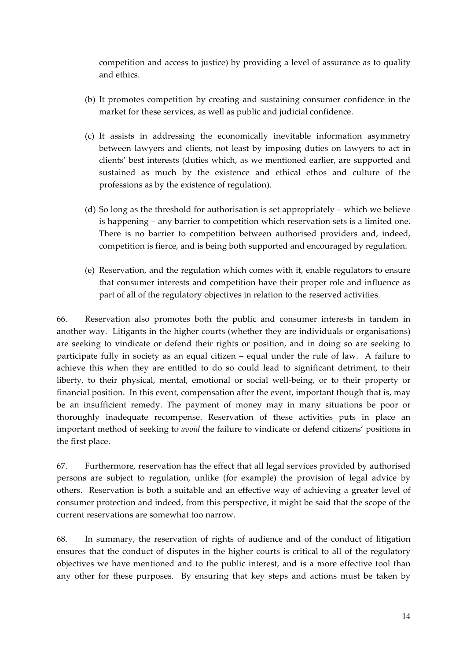competition and access to justice) by providing a level of assurance as to quality and ethics.

- (b) It promotes competition by creating and sustaining consumer confidence in the market for these services, as well as public and judicial confidence.
- (c) It assists in addressing the economically inevitable information asymmetry between lawyers and clients, not least by imposing duties on lawyers to act in clients' best interests (duties which, as we mentioned earlier, are supported and sustained as much by the existence and ethical ethos and culture of the professions as by the existence of regulation).
- (d) So long as the threshold for authorisation is set appropriately which we believe is happening – any barrier to competition which reservation sets is a limited one. There is no barrier to competition between authorised providers and, indeed, competition is fierce, and is being both supported and encouraged by regulation.
- (e) Reservation, and the regulation which comes with it, enable regulators to ensure that consumer interests and competition have their proper role and influence as part of all of the regulatory objectives in relation to the reserved activities.

66. Reservation also promotes both the public and consumer interests in tandem in another way. Litigants in the higher courts (whether they are individuals or organisations) are seeking to vindicate or defend their rights or position, and in doing so are seeking to participate fully in society as an equal citizen – equal under the rule of law. A failure to achieve this when they are entitled to do so could lead to significant detriment, to their liberty, to their physical, mental, emotional or social well-being, or to their property or financial position. In this event, compensation after the event, important though that is, may be an insufficient remedy. The payment of money may in many situations be poor or thoroughly inadequate recompense. Reservation of these activities puts in place an important method of seeking to *avoid* the failure to vindicate or defend citizens' positions in the first place.

67. Furthermore, reservation has the effect that all legal services provided by authorised persons are subject to regulation, unlike (for example) the provision of legal advice by others. Reservation is both a suitable and an effective way of achieving a greater level of consumer protection and indeed, from this perspective, it might be said that the scope of the current reservations are somewhat too narrow.

68. In summary, the reservation of rights of audience and of the conduct of litigation ensures that the conduct of disputes in the higher courts is critical to all of the regulatory objectives we have mentioned and to the public interest, and is a more effective tool than any other for these purposes. By ensuring that key steps and actions must be taken by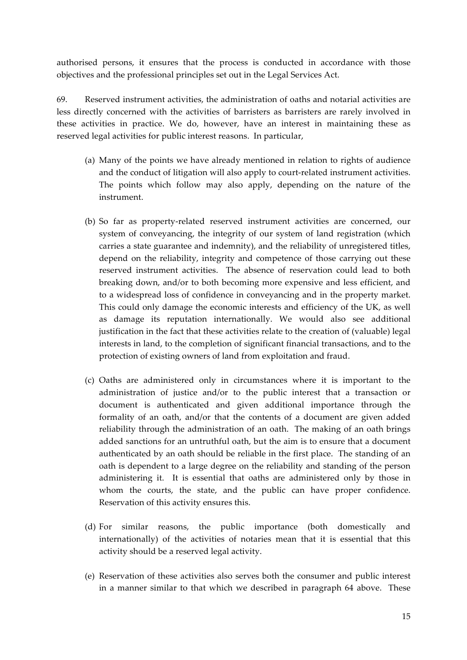authorised persons, it ensures that the process is conducted in accordance with those objectives and the professional principles set out in the Legal Services Act.

69. Reserved instrument activities, the administration of oaths and notarial activities are less directly concerned with the activities of barristers as barristers are rarely involved in these activities in practice. We do, however, have an interest in maintaining these as reserved legal activities for public interest reasons. In particular,

- (a) Many of the points we have already mentioned in relation to rights of audience and the conduct of litigation will also apply to court-related instrument activities. The points which follow may also apply, depending on the nature of the instrument.
- (b) So far as property-related reserved instrument activities are concerned, our system of conveyancing, the integrity of our system of land registration (which carries a state guarantee and indemnity), and the reliability of unregistered titles, depend on the reliability, integrity and competence of those carrying out these reserved instrument activities. The absence of reservation could lead to both breaking down, and/or to both becoming more expensive and less efficient, and to a widespread loss of confidence in conveyancing and in the property market. This could only damage the economic interests and efficiency of the UK, as well as damage its reputation internationally. We would also see additional justification in the fact that these activities relate to the creation of (valuable) legal interests in land, to the completion of significant financial transactions, and to the protection of existing owners of land from exploitation and fraud.
- (c) Oaths are administered only in circumstances where it is important to the administration of justice and/or to the public interest that a transaction or document is authenticated and given additional importance through the formality of an oath, and/or that the contents of a document are given added reliability through the administration of an oath. The making of an oath brings added sanctions for an untruthful oath, but the aim is to ensure that a document authenticated by an oath should be reliable in the first place. The standing of an oath is dependent to a large degree on the reliability and standing of the person administering it. It is essential that oaths are administered only by those in whom the courts, the state, and the public can have proper confidence. Reservation of this activity ensures this.
- (d) For similar reasons, the public importance (both domestically and internationally) of the activities of notaries mean that it is essential that this activity should be a reserved legal activity.
- (e) Reservation of these activities also serves both the consumer and public interest in a manner similar to that which we described in paragraph 64 above. These